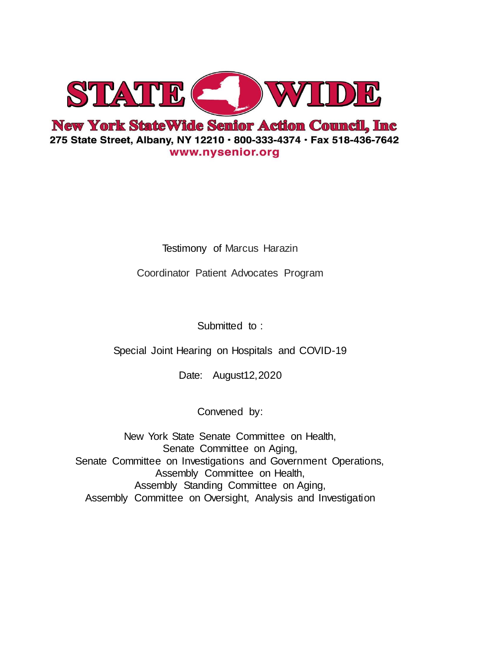

Testimony of Marcus Harazin

Coordinator Patient Advocates Program

Submitted to:

Special Joint Hearing on Hospitals and COVID-19

Date: August12,2020

Convened by:

New York State Senate Committee on Health, Senate Committee on Aging, Senate Committee on Investigations and Government Operations, Assembly Committee on Health, Assembly Standing Committee on Aging, Assembly Committee on Oversight, Analysis and Investigation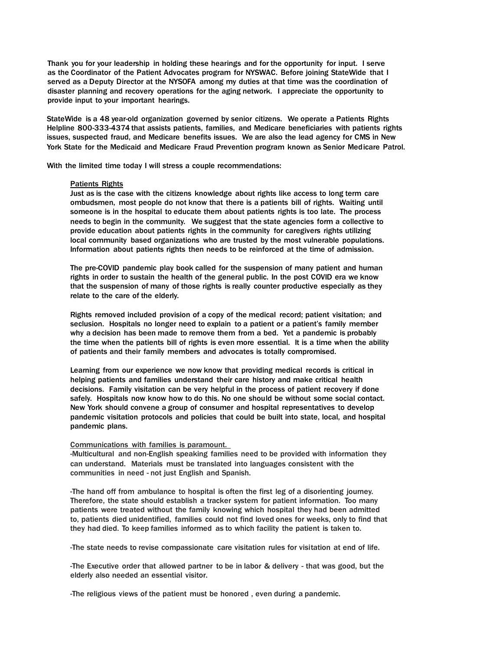Thank you for your leadership in holding these hearings and for the opportunity for input. I serve as the Coordinator of the Patient Advocates program for NYSWAC. Before joining StateWide that I served as a Deputy Director at the NYSOFA among my duties at that time was the coordination of disaster planning and recovery operations for the aging network. I appreciate the opportunity to provide input to your important hearings.

StateWide is a 48 year-old organization governed by senior citizens. We operate a Patients Rights Helpline 800-333-4374 that assists patients, families, and Medicare beneficiaries with patients rights issues, suspected fraud, and Medicare benefits issues. We are also the lead agency for CMS in New York State for the Medicaid and Medicare Fraud Prevention program known as Senior Medicare Patrol.

With the limited time today I will stress a couple recommendations:

#### Patients Rights

Just as is the case with the citizens knowledge about rights like access to long term care ombudsmen, most people do not know that there is a patients bill of rights. Waiting until someone is in the hospital to educate them about patients rights is too late. The process needs to begin in the community. We suggest that the state agencies form a collective to provide education about patients rights in the community for caregivers rights utilizing local community based organizations who are trusted by the most vulnerable populations. Information about patients rights then needs to be reinforced at the time of admission.

The pre-COVID pandemic play book called for the suspension of many patient and human rights in order to sustain the health of the general public. In the post COVID era we know that the suspension of many of those rights is really counter productive especially as they relate to the care of the elderly.

Rights removed included provision of a copy of the medical record; patient visitation; and seclusion. Hospitals no longer need to explain to a patient or a patient's family member why a decision has been made to remove them from a bed. Yet a pandemic is probably the time when the patients bill of rights is even more essential. It is a time when the ability of patients and their family members and advocates is totally compromised.

Learning from our experience we now know that providing medical records is critical in helping patients and families understand their care history and make critical health decisions. Family visitation can be very helpful in the process of patient recovery if done safely. Hospitals now know how to do this. No one should be without some social contact. New York should convene a group of consumer and hospital representatives to develop pandemic visitation protocols and policies that could be built into state, local, and hospital pandemic plans.

#### Communications with families is paramount.

-Multicultural and non-English speaking families need to be provided with information they can understand. Materials must be translated into languages consistent with the communities in need - not just English and Spanish.

-The hand off from ambulance to hospital is often the first leg of a disorienting journey. Therefore, the state should establish a tracker system for patient information. Too many patients were treated without the family knowing which hospital they had been admitted to, patients died unidentified, families could not find loved ones for weeks, only to find that they had died. To keep families informed as to which facility the patient is taken to.

-The state needs to revise compassionate care visitation rules for visitation at end of life.

-The Executive order that allowed partner to be in labor & delivery - that was good, but the elderly also needed an essential visitor.

-The religious views of the patient must be honored , even during a pandemic.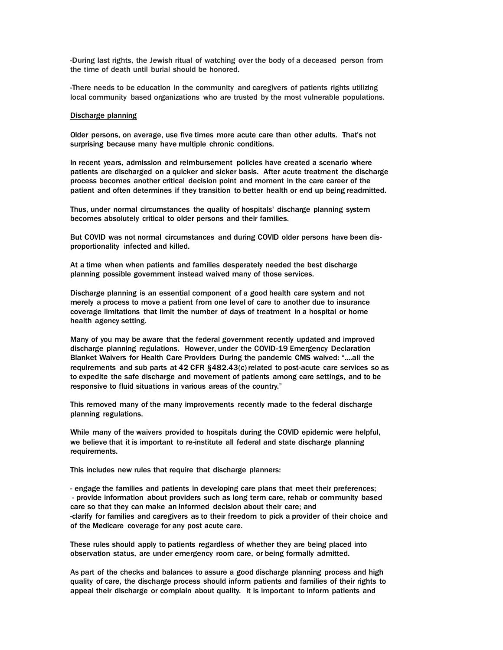-During last rights, the Jewish ritual of watching over the body of a deceased person from the time of death until burial should be honored.

-There needs to be education in the community and caregivers of patients rights utilizing local community based organizations who are trusted by the most vulnerable populations.

#### Discharge planning

Older persons, on average, use five times more acute care than other adults. That's not surprising because many have multiple chronic conditions.

In recent years, admission and reimbursement policies have created a scenario where patients are discharged on a quicker and sicker basis. After acute treatment the discharge process becomes another critical decision point and moment in the care career of the patient and often determines if they transition to better health or end up being readmitted.

Thus, under normal circumstances the quality of hospitals' discharge planning system becomes absolutely critical to older persons and their families.

But COVID was not normal circumstances and during COVID older persons have been disproportionality infected and killed.

At a time when when patients and families desperately needed the best discharge planning possible government instead waived many of those services.

Discharge planning is an essential component of a good health care system and not merely a process to move a patient from one level of care to another due to insurance coverage limitations that limit the number of days of treatment in a hospital or home health agency setting.

Many of you may be aware that the federal government recently updated and improved discharge planning regulations. However, under the COVID-19 Emergency Declaration Blanket Waivers for Health Care Providers During the pandemic CMS waived: "....all the requirements and sub parts at 42 CFR §482.43(c) related to post-acute care services so as to expedite the safe discharge and movement of patients among care settings, and to be responsive to fluid situations in various areas of the country."

This removed many of the many improvements recently made to the federal discharge planning regulations.

While many of the waivers provided to hospitals during the COVID epidemic were helpful, we believe that it is important to re-institute all federal and state discharge planning requirements.

This includes new rules that require that discharge planners:

- engage the families and patients in developing care plans that meet their preferences; - provide information about providers such as long term care, rehab or community based care so that they can make an informed decision about their care; and -clarify for families and caregivers as to their freedom to pick a provider of their choice and of the Medicare coverage for any post acute care.

These rules should apply to patients regardless of whether they are being placed into observation status, are under emergency room care, or being formally admitted.

As part of the checks and balances to assure a good discharge planning process and high quality of care, the discharge process should inform patients and families of their rights to appeal their discharge or complain about quality. It is important to inform patients and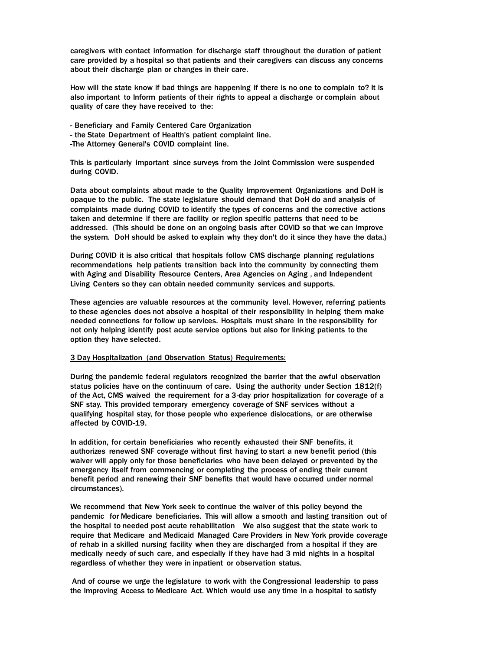caregivers with contact information for discharge staff throughout the duration of patient care provided by a hospital so that patients and their caregivers can discuss any concerns about their discharge plan or changes in their care.

How will the state know if bad things are happening if there is no one to complain to? It is also important to Inform patients of their rights to appeal a discharge or complain about quality of care they have received to the:

- Beneficiary and Family Centered Care Organization
- the State Department of Health's patient complaint line.
- -The Attorney General's COVID complaint line.

This is particularly important since surveys from the Joint Commission were suspended during COVID.

Data about complaints about made to the Quality Improvement Organizations and DoH is opaque to the public. The state legislature should demand that DoH do and analysis of complaints made during COVID to identify the types of concerns and the corrective actions taken and determine if there are facility or region specific patterns that need to be addressed. (This should be done on an ongoing basis after COVID so that we can improve the system. DoH should be asked to explain why they don't do it since they have the data.)

During COVID it is also critical that hospitals follow CMS discharge planning regulations recommendations help patients transition back into the community by connecting them with Aging and Disability Resource Centers, Area Agencies on Aging , and Independent Living Centers so they can obtain needed community services and supports.

These agencies are valuable resources at the community level. However, referring patients to these agencies does not absolve a hospital of their responsibility in helping them make needed connections for follow up services. Hospitals must share in the responsibility for not only helping identify post acute service options but also for linking patients to the option they have selected.

### 3 Day Hospitalization (and Observation Status) Requirements:

During the pandemic federal regulators recognized the barrier that the awful observation status policies have on the continuum of care. Using the authority under Section 1812(f) of the Act, CMS waived the requirement for a 3-day prior hospitalization for coverage of a SNF stay. This provided temporary emergency coverage of SNF services without a qualifying hospital stay, for those people who experience dislocations, or are otherwise affected by COVID-19.

In addition, for certain beneficiaries who recently exhausted their SNF benefits, it authorizes renewed SNF coverage without first having to start a new benefit period (this waiver will apply only for those beneficiaries who have been delayed or prevented by the emergency itself from commencing or completing the process of ending their current benefit period and renewing their SNF benefits that would have occurred under normal circumstances).

We recommend that New York seek to continue the waiver of this policy beyond the pandemic for Medicare beneficiaries. This will allow a smooth and lasting transition out of the hospital to needed post acute rehabilitation We also suggest that the state work to require that Medicare and Medicaid Managed Care Providers in New York provide coverage of rehab in a skilled nursing facility when they are discharged from a hospital if they are medically needy of such care, and especially if they have had 3 mid nights in a hospital regardless of whether they were in inpatient or observation status.

And of course we urge the legislature to work with the Congressional leadership to pass the Improving Access to Medicare Act. Which would use any time in a hospital to satisfy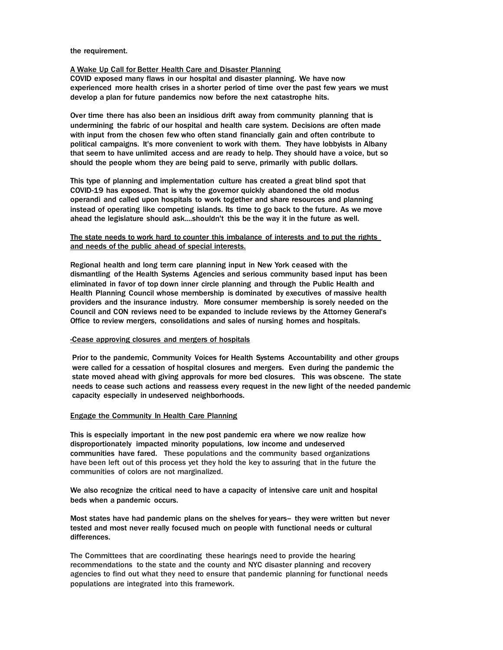the requirement.

# A Wake Up Call for Better Health Care and Disaster Planning

COVID exposed many flaws in our hospital and disaster planning. We have now experienced more health crises in a shorter period of time over the past few years we must develop a plan for future pandemics now before the next catastrophe hits.

Over time there has also been an insidious drift away from community planning that is undermining the fabric of our hospital and health care system. Decisions are often made with input from the chosen few who often stand financially gain and often contribute to political campaigns. It's more convenient to work with them. They have lobbyists in Albany that seem to have unlimited access and are ready to help. They should have a voice, but so should the people whom they are being paid to serve, primarily with public dollars.

This type of planning and implementation culture has created a great blind spot that COVID-19 has exposed. That is why the governor quickly abandoned the old modus operandi and called upon hospitals to work together and share resources and planning instead of operating like competing islands. Its time to go back to the future. As we move ahead the legislature should ask....shouldn't this be the way it in the future as well.

# The state needs to work hard to counter this imbalance of interests and to put the rights and needs of the public ahead of special interests.

Regional health and long term care planning input in New York ceased with the dismantling of the Health Systems Agencies and serious community based input has been eliminated in favor of top down inner circle planning and through the Public Health and Health Planning Council whose membership is dominated by executives of massive health providers and the insurance industry. More consumer membership is sorely needed on the Council and CON reviews need to be expanded to include reviews by the Attorney General's Office to review mergers, consolidations and sales of nursing homes and hospitals.

## -Cease approving closures and mergers of hospitals

Prior to the pandemic, Community Voices for Health Systems Accountability and other groups were called for a cessation of hospital closures and mergers. Even during the pandemic the state moved ahead with giving approvals for more bed closures. This was obscene. The state needs to cease such actions and reassess every request in the new light of the needed pandemic capacity especially in undeserved neighborhoods.

## Engage the Community In Health Care Planning

This is especially important in the new post pandemic era where we now realize how disproportionately impacted minority populations, low income and undeserved communities have fared. These populations and the community based organizations have been left out of this process yet they hold the key to assuring that in the future the communities of colors are not marginalized.

We also recognize the critical need to have a capacity of intensive care unit and hospital beds when a pandemic occurs.

Most states have had pandemic plans on the shelves for years- they were written but never tested and most never really focused much on people with functional needs or cultural differences.

The Committees that are coordinating these hearings need to provide the hearing recommendations to the state and the county and NYC disaster planning and recovery agencies to find out what they need to ensure that pandemic planning for functional needs populations are integrated into this framework.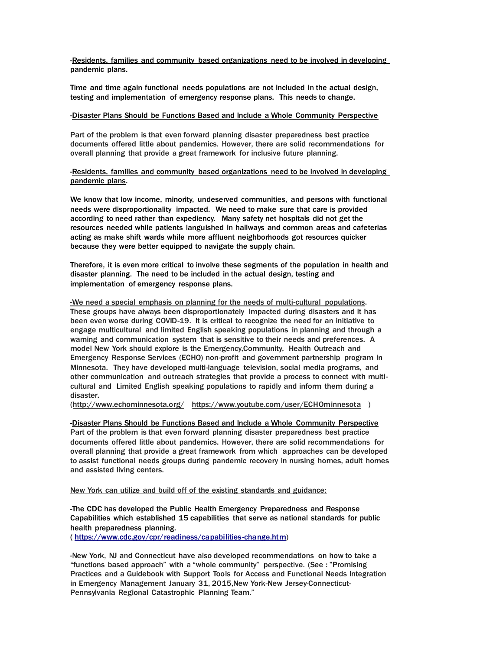-Residents, families and community based organizations need to be involved in developing pandemic plans.

Time and time again functional needs populations are not included in the actual design, testing and implementation of emergency response plans. This needs to change.

# -Disaster Plans Should be Functions Based and Include a Whole Community Perspective

Part of the problem is that even forward planning disaster preparedness best practice documents offered little about pandemics. However, there are solid recommendations for overall planning that provide a great framework for inclusive future planning.

-Residents, families and community based organizations need to be involved in developing pandemic plans.

We know that low income, minority, undeserved communities, and persons with functional needs were disproportionality impacted. We need to make sure that care is provided according to need rather than expediency. Many safety net hospitals did not get the resources needed while patients languished in hallways and common areas and cafeterias acting as make shift wards while more affluent neighborhoods got resources quicker because they were better equipped to navigate the supply chain.

Therefore, it is even more critical to involve these segments of the population in health and disaster planning. The need to be included in the actual design, testing and implementation of emergency response plans.

-We need a special emphasis on planning for the needs of multi-cultural populations. These groups have always been disproportionately impacted during disasters and it has been even worse during COVID-19. It is critical to recognize the need for an initiative to engage multicultural and limited English speaking populations in planning and through a warning and communication system that is sensitive to their needs and preferences. A model New York should explore is the Emergency,Community, Health Outreach and Emergency Response Services (ECHO) non-profit and government partnership program in Minnesota. They have developed multi-language television, social media programs, and other communication and outreach strategies that provide a process to connect with multicultural and Limited English speaking populations to rapidly and inform them during a disaster.

[\(http://www.echominnesota.org/](http://www.echominnesota.org/) <https://www.youtube.com/user/ECHOminnesota>)

-Disaster Plans Should be Functions Based and Include a Whole Community Perspective

Part of the problem is that even forward planning disaster preparedness best practice documents offered little about pandemics. However, there are solid recommendations for overall planning that provide a great framework from which approaches can be developed to assist functional needs groups during pandemic recovery in nursing homes, adult homes and assisted living centers.

New York can utilize and build off of the existing standards and guidance:

-The CDC has developed the Public Health Emergency Preparedness and Response Capabilities which established 15 capabilities that serve as national standards for public health preparedness planning.

( [https://www.cdc.gov/cpr/readiness/capabilities-change.htm\)](https://www.cdc.gov/cpr/readiness/capabilities-change.htm) 

-New York, NJ and Connecticut have also developed recommendations on how to take a "functions based approach" with a "whole community" perspective. (See : "Promising Practices and a Guidebook with Support Tools for Access and Functional Needs Integration in Emergency Management January 31, 2015,New York-New Jersey-Connecticut-Pennsylvania Regional Catastrophic Planning Team."